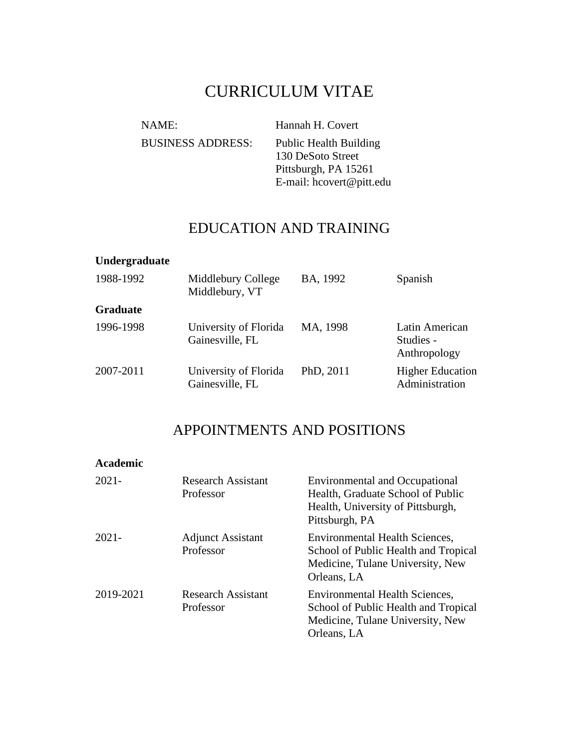# CURRICULUM VITAE

NAME: Hannah H. Covert BUSINESS ADDRESS: Public Health Building 130 DeSoto Street Pittsburgh, PA 15261 E-mail: hcovert@pitt.edu

### EDUCATION AND TRAINING

#### **Undergraduate**

| 1988-1992       | Middlebury College<br>Middlebury, VT     | BA, 1992  | Spanish                                     |
|-----------------|------------------------------------------|-----------|---------------------------------------------|
| <b>Graduate</b> |                                          |           |                                             |
| 1996-1998       | University of Florida<br>Gainesville, FL | MA, 1998  | Latin American<br>Studies -<br>Anthropology |
| 2007-2011       | University of Florida<br>Gainesville, FL | PhD, 2011 | <b>Higher Education</b><br>Administration   |

### APPOINTMENTS AND POSITIONS

| Academic  |                                        |                                                                                                                                   |
|-----------|----------------------------------------|-----------------------------------------------------------------------------------------------------------------------------------|
| $2021 -$  | <b>Research Assistant</b><br>Professor | <b>Environmental and Occupational</b><br>Health, Graduate School of Public<br>Health, University of Pittsburgh,<br>Pittsburgh, PA |
| $2021 -$  | <b>Adjunct Assistant</b><br>Professor  | <b>Environmental Health Sciences,</b><br>School of Public Health and Tropical<br>Medicine, Tulane University, New<br>Orleans, LA  |
| 2019-2021 | <b>Research Assistant</b><br>Professor | <b>Environmental Health Sciences,</b><br>School of Public Health and Tropical<br>Medicine, Tulane University, New<br>Orleans, LA  |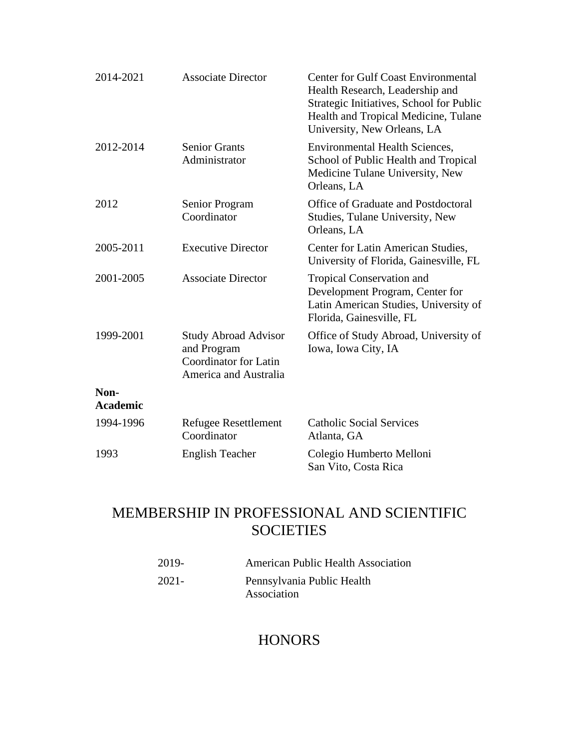| 2014-2021               | <b>Associate Director</b>                                                                    | <b>Center for Gulf Coast Environmental</b><br>Health Research, Leadership and<br>Strategic Initiatives, School for Public<br>Health and Tropical Medicine, Tulane<br>University, New Orleans, LA |
|-------------------------|----------------------------------------------------------------------------------------------|--------------------------------------------------------------------------------------------------------------------------------------------------------------------------------------------------|
| 2012-2014               | <b>Senior Grants</b><br>Administrator                                                        | <b>Environmental Health Sciences,</b><br>School of Public Health and Tropical<br>Medicine Tulane University, New<br>Orleans, LA                                                                  |
| 2012                    | Senior Program<br>Coordinator                                                                | Office of Graduate and Postdoctoral<br>Studies, Tulane University, New<br>Orleans, LA                                                                                                            |
| 2005-2011               | <b>Executive Director</b>                                                                    | Center for Latin American Studies,<br>University of Florida, Gainesville, FL                                                                                                                     |
| 2001-2005               | <b>Associate Director</b>                                                                    | <b>Tropical Conservation and</b><br>Development Program, Center for<br>Latin American Studies, University of<br>Florida, Gainesville, FL                                                         |
| 1999-2001               | <b>Study Abroad Advisor</b><br>and Program<br>Coordinator for Latin<br>America and Australia | Office of Study Abroad, University of<br>Iowa, Iowa City, IA                                                                                                                                     |
| Non-<br><b>Academic</b> |                                                                                              |                                                                                                                                                                                                  |
| 1994-1996               | <b>Refugee Resettlement</b><br>Coordinator                                                   | <b>Catholic Social Services</b><br>Atlanta, GA                                                                                                                                                   |
| 1993                    | <b>English Teacher</b>                                                                       | Colegio Humberto Melloni<br>San Vito, Costa Rica                                                                                                                                                 |

# MEMBERSHIP IN PROFESSIONAL AND SCIENTIFIC **SOCIETIES**

| 2019- | <b>American Public Health Association</b> |
|-------|-------------------------------------------|
| 2021- | Pennsylvania Public Health                |
|       | Association                               |

## **HONORS**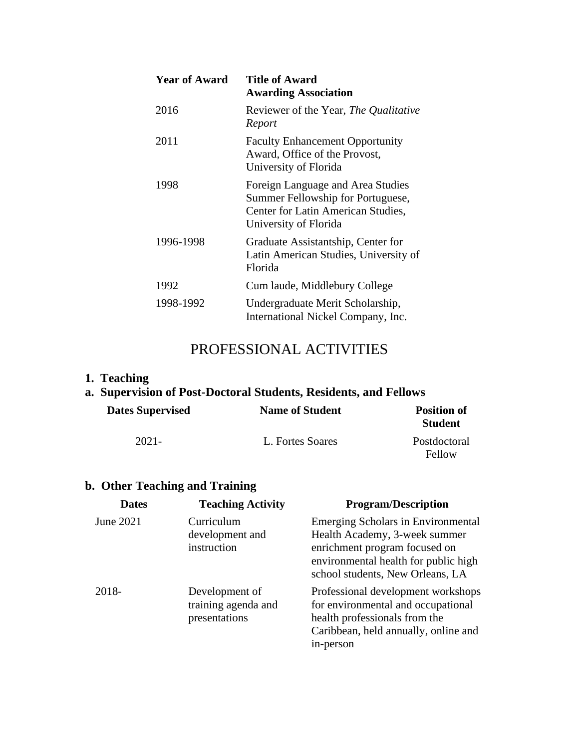| <b>Year of Award</b> | <b>Title of Award</b><br><b>Awarding Association</b>                                                                                  |
|----------------------|---------------------------------------------------------------------------------------------------------------------------------------|
| 2016                 | Reviewer of the Year, The Qualitative<br>Report                                                                                       |
| 2011                 | <b>Faculty Enhancement Opportunity</b><br>Award, Office of the Provost,<br>University of Florida                                      |
| 1998                 | Foreign Language and Area Studies<br>Summer Fellowship for Portuguese,<br>Center for Latin American Studies,<br>University of Florida |
| 1996-1998            | Graduate Assistantship, Center for<br>Latin American Studies, University of<br>Florida                                                |
| 1992                 | Cum laude, Middlebury College                                                                                                         |
| 1998-1992            | Undergraduate Merit Scholarship,<br>International Nickel Company, Inc.                                                                |

## PROFESSIONAL ACTIVITIES

#### **1. Teaching**

# **a. Supervision of Post-Doctoral Students, Residents, and Fellows**

| <b>Dates Supervised</b> | <b>Name of Student</b> | <b>Position of</b><br><b>Student</b> |
|-------------------------|------------------------|--------------------------------------|
| $2021 -$                | L. Fortes Soares       | Postdoctoral<br>Fellow               |

## **b. Other Teaching and Training**

| <b>Dates</b> | <b>Teaching Activity</b>                               | <b>Program/Description</b>                                                                                                                                                              |
|--------------|--------------------------------------------------------|-----------------------------------------------------------------------------------------------------------------------------------------------------------------------------------------|
| June 2021    | Curriculum<br>development and<br>instruction           | <b>Emerging Scholars in Environmental</b><br>Health Academy, 3-week summer<br>enrichment program focused on<br>environmental health for public high<br>school students, New Orleans, LA |
| 2018-        | Development of<br>training agenda and<br>presentations | Professional development workshops<br>for environmental and occupational<br>health professionals from the<br>Caribbean, held annually, online and<br>in-person                          |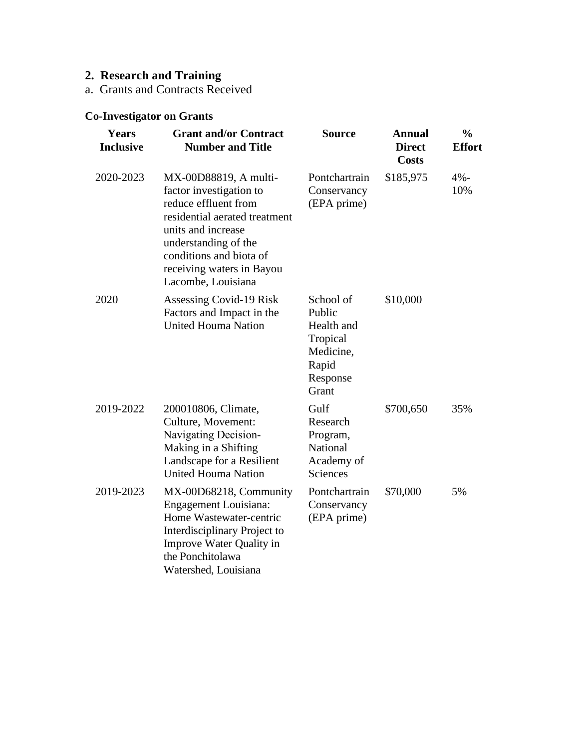# **2. Research and Training**

a. Grants and Contracts Received

#### **Co-Investigator on Grants**

| <b>Years</b><br><b>Inclusive</b> | <b>Grant and/or Contract</b><br><b>Number and Title</b>                                                                                                                                                                               | <b>Source</b>                                                                            | <b>Annual</b><br><b>Direct</b><br><b>Costs</b> | $\frac{0}{0}$<br><b>Effort</b> |
|----------------------------------|---------------------------------------------------------------------------------------------------------------------------------------------------------------------------------------------------------------------------------------|------------------------------------------------------------------------------------------|------------------------------------------------|--------------------------------|
| 2020-2023                        | MX-00D88819, A multi-<br>factor investigation to<br>reduce effluent from<br>residential aerated treatment<br>units and increase<br>understanding of the<br>conditions and biota of<br>receiving waters in Bayou<br>Lacombe, Louisiana | Pontchartrain<br>Conservancy<br>(EPA prime)                                              | \$185,975                                      | $4% -$<br>10%                  |
| 2020                             | Assessing Covid-19 Risk<br>Factors and Impact in the<br><b>United Houma Nation</b>                                                                                                                                                    | School of<br>Public<br>Health and<br>Tropical<br>Medicine,<br>Rapid<br>Response<br>Grant | \$10,000                                       |                                |
| 2019-2022                        | 200010806, Climate,<br>Culture, Movement:<br>Navigating Decision-<br>Making in a Shifting<br>Landscape for a Resilient<br><b>United Houma Nation</b>                                                                                  | Gulf<br>Research<br>Program,<br>National<br>Academy of<br>Sciences                       | \$700,650                                      | 35%                            |
| 2019-2023                        | MX-00D68218, Community<br>Engagement Louisiana:<br>Home Wastewater-centric<br>Interdisciplinary Project to<br>Improve Water Quality in<br>the Ponchitolawa<br>Watershed, Louisiana                                                    | Pontchartrain<br>Conservancy<br>(EPA prime)                                              | \$70,000                                       | 5%                             |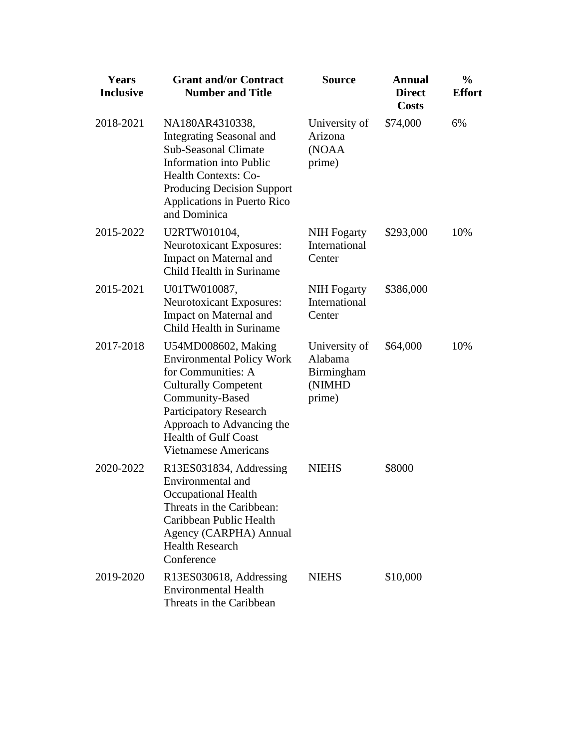| <b>Years</b><br><b>Inclusive</b> | <b>Grant and/or Contract</b><br><b>Number and Title</b>                                                                                                                                                                                              | Source                                                     | <b>Annual</b><br><b>Direct</b><br><b>Costs</b> | $\frac{0}{0}$<br><b>Effort</b> |
|----------------------------------|------------------------------------------------------------------------------------------------------------------------------------------------------------------------------------------------------------------------------------------------------|------------------------------------------------------------|------------------------------------------------|--------------------------------|
| 2018-2021                        | NA180AR4310338,<br>Integrating Seasonal and<br><b>Sub-Seasonal Climate</b><br><b>Information</b> into Public<br><b>Health Contexts: Co-</b><br><b>Producing Decision Support</b><br>Applications in Puerto Rico<br>and Dominica                      | University of<br>Arizona<br>(NOAA<br>prime)                | \$74,000                                       | 6%                             |
| 2015-2022                        | U2RTW010104,<br><b>Neurotoxicant Exposures:</b><br>Impact on Maternal and<br>Child Health in Suriname                                                                                                                                                | <b>NIH</b> Fogarty<br>International<br>Center              | \$293,000                                      | 10%                            |
| 2015-2021                        | U01TW010087,<br><b>Neurotoxicant Exposures:</b><br>Impact on Maternal and<br>Child Health in Suriname                                                                                                                                                | <b>NIH</b> Fogarty<br>International<br>Center              | \$386,000                                      |                                |
| 2017-2018                        | U54MD008602, Making<br><b>Environmental Policy Work</b><br>for Communities: A<br><b>Culturally Competent</b><br>Community-Based<br>Participatory Research<br>Approach to Advancing the<br><b>Health of Gulf Coast</b><br><b>Vietnamese Americans</b> | University of<br>Alabama<br>Birmingham<br>(NIMHD<br>prime) | \$64,000                                       | 10%                            |
| 2020-2022                        | R13ES031834, Addressing<br>Environmental and<br>Occupational Health<br>Threats in the Caribbean:<br>Caribbean Public Health<br>Agency (CARPHA) Annual<br><b>Health Research</b><br>Conference                                                        | <b>NIEHS</b>                                               | \$8000                                         |                                |
| 2019-2020                        | R13ES030618, Addressing<br><b>Environmental Health</b><br>Threats in the Caribbean                                                                                                                                                                   | <b>NIEHS</b>                                               | \$10,000                                       |                                |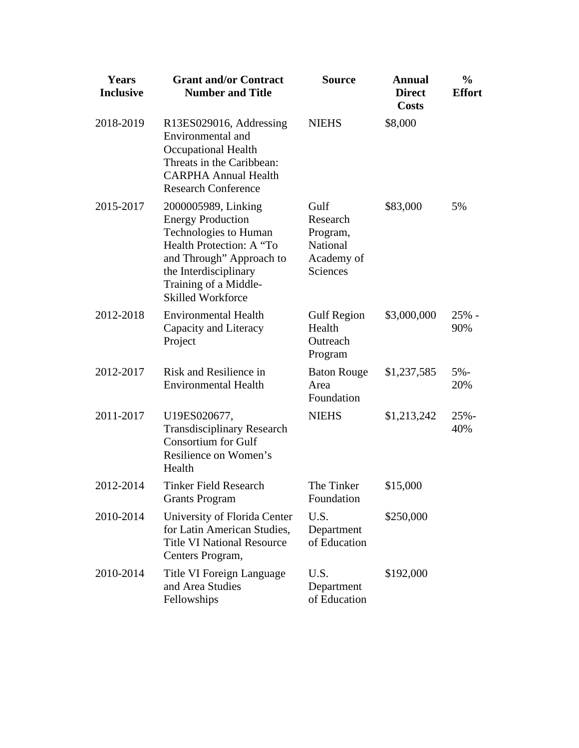| <b>Years</b><br><b>Inclusive</b> | <b>Grant and/or Contract</b><br><b>Number and Title</b>                                                                                                                                                        | <b>Source</b>                                                      | <b>Annual</b><br><b>Direct</b><br><b>Costs</b> | $\frac{0}{0}$<br><b>Effort</b> |
|----------------------------------|----------------------------------------------------------------------------------------------------------------------------------------------------------------------------------------------------------------|--------------------------------------------------------------------|------------------------------------------------|--------------------------------|
| 2018-2019                        | R13ES029016, Addressing<br>Environmental and<br>Occupational Health<br>Threats in the Caribbean:<br><b>CARPHA Annual Health</b><br><b>Research Conference</b>                                                  | <b>NIEHS</b>                                                       | \$8,000                                        |                                |
| 2015-2017                        | 2000005989, Linking<br><b>Energy Production</b><br>Technologies to Human<br>Health Protection: A "To<br>and Through" Approach to<br>the Interdisciplinary<br>Training of a Middle-<br><b>Skilled Workforce</b> | Gulf<br>Research<br>Program,<br>National<br>Academy of<br>Sciences | \$83,000                                       | 5%                             |
| 2012-2018                        | <b>Environmental Health</b><br>Capacity and Literacy<br>Project                                                                                                                                                | <b>Gulf Region</b><br>Health<br>Outreach<br>Program                | \$3,000,000                                    | $25%$ -<br>90%                 |
| 2012-2017                        | Risk and Resilience in<br><b>Environmental Health</b>                                                                                                                                                          | <b>Baton Rouge</b><br>Area<br>Foundation                           | \$1,237,585                                    | $5% -$<br>20%                  |
| 2011-2017                        | U19ES020677,<br><b>Transdisciplinary Research</b><br><b>Consortium for Gulf</b><br>Resilience on Women's<br>Health                                                                                             | <b>NIEHS</b>                                                       | \$1,213,242                                    | $25% -$<br>40%                 |
| 2012-2014                        | <b>Tinker Field Research</b><br>Grants Program                                                                                                                                                                 | The Tinker<br>Foundation                                           | \$15,000                                       |                                |
| 2010-2014                        | University of Florida Center<br>for Latin American Studies,<br><b>Title VI National Resource</b><br>Centers Program,                                                                                           | U.S.<br>Department<br>of Education                                 | \$250,000                                      |                                |
| 2010-2014                        | Title VI Foreign Language<br>and Area Studies<br>Fellowships                                                                                                                                                   | U.S.<br>Department<br>of Education                                 | \$192,000                                      |                                |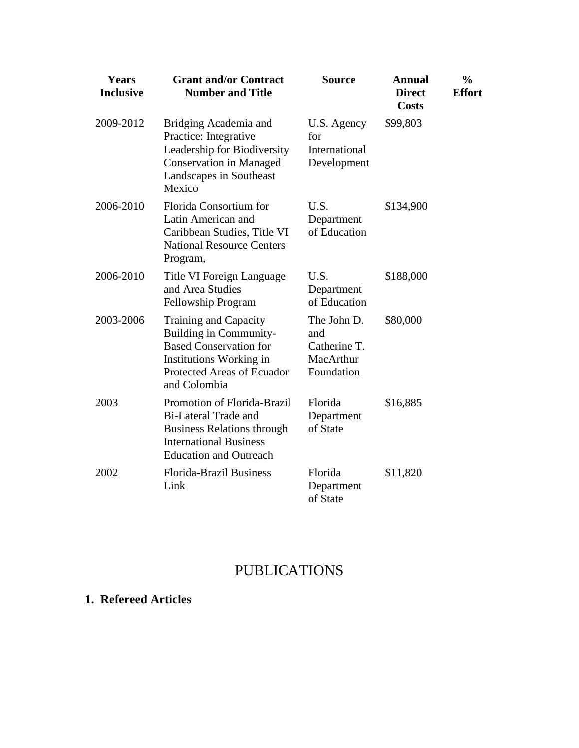| <b>Years</b><br><b>Inclusive</b> | <b>Grant and/or Contract</b><br><b>Number and Title</b>                                                                                                           | Source                                                        | <b>Annual</b><br><b>Direct</b><br><b>Costs</b> | $\frac{0}{0}$<br><b>Effort</b> |
|----------------------------------|-------------------------------------------------------------------------------------------------------------------------------------------------------------------|---------------------------------------------------------------|------------------------------------------------|--------------------------------|
| 2009-2012                        | Bridging Academia and<br>Practice: Integrative<br>Leadership for Biodiversity<br><b>Conservation in Managed</b><br>Landscapes in Southeast<br>Mexico              | U.S. Agency<br>for<br>International<br>Development            | \$99,803                                       |                                |
| 2006-2010                        | Florida Consortium for<br>Latin American and<br>Caribbean Studies, Title VI<br><b>National Resource Centers</b><br>Program,                                       | U.S.<br>Department<br>of Education                            | \$134,900                                      |                                |
| 2006-2010                        | Title VI Foreign Language<br>and Area Studies<br>Fellowship Program                                                                                               | U.S.<br>Department<br>of Education                            | \$188,000                                      |                                |
| 2003-2006                        | Training and Capacity<br>Building in Community-<br><b>Based Conservation for</b><br>Institutions Working in<br>Protected Areas of Ecuador<br>and Colombia         | The John D.<br>and<br>Catherine T.<br>MacArthur<br>Foundation | \$80,000                                       |                                |
| 2003                             | Promotion of Florida-Brazil<br><b>Bi-Lateral Trade and</b><br><b>Business Relations through</b><br><b>International Business</b><br><b>Education and Outreach</b> | Florida<br>Department<br>of State                             | \$16,885                                       |                                |
| 2002                             | <b>Florida-Brazil Business</b><br>Link                                                                                                                            | Florida<br>Department<br>of State                             | \$11,820                                       |                                |

# PUBLICATIONS

### **1. Refereed Articles**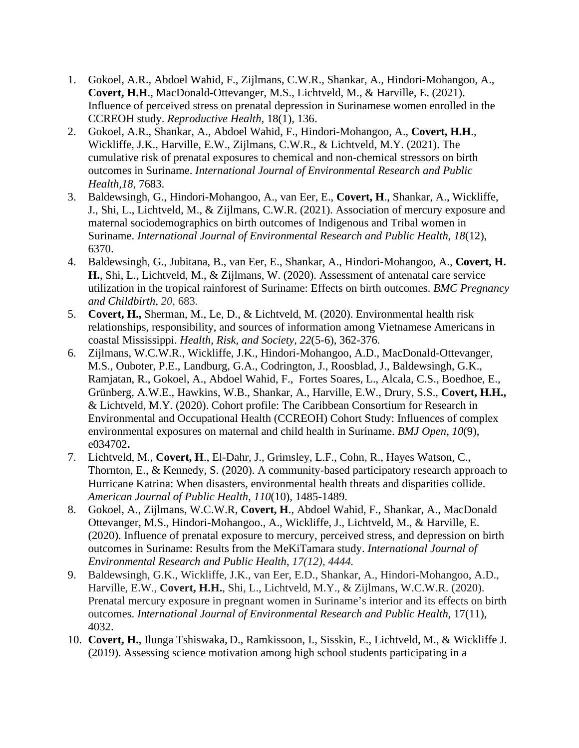- 1. Gokoel, A.R., Abdoel Wahid, F., Zijlmans, C.W.R., Shankar, A., Hindori-Mohangoo, A., **Covert, H.H**., MacDonald-Ottevanger, M.S., Lichtveld, M., & Harville, E. (2021). Influence of perceived stress on prenatal depression in Surinamese women enrolled in the CCREOH study. *Reproductive Health,* 18(1), 136.
- 2. Gokoel, A.R., Shankar, A., Abdoel Wahid, F., Hindori-Mohangoo, A., **Covert, H.H**., Wickliffe, J.K., Harville, E.W., Zijlmans, C.W.R., & Lichtveld, M.Y. (2021). The cumulative risk of prenatal exposures to chemical and non-chemical stressors on birth outcomes in Suriname. *International Journal of Environmental Research and Public Health,18*, 7683.
- 3. Baldewsingh, G., Hindori-Mohangoo, A., van Eer, E., **Covert, H**., Shankar, A., Wickliffe, J., Shi, L., Lichtveld, M., & Zijlmans, C.W.R. (2021). Association of mercury exposure and maternal sociodemographics on birth outcomes of Indigenous and Tribal women in Suriname. *International Journal of Environmental Research and Public Health, 18*(12), 6370.
- 4. Baldewsingh, G., Jubitana, B., van Eer, E., Shankar, A., Hindori-Mohangoo, A., **Covert, H. H.**, Shi, L., Lichtveld, M., & Zijlmans, W. (2020). Assessment of antenatal care service utilization in the tropical rainforest of Suriname: Effects on birth outcomes. *BMC Pregnancy and Childbirth, 20,* 683.
- 5. **Covert, H.,** Sherman, M., Le, D., & Lichtveld, M. (2020). Environmental health risk relationships, responsibility, and sources of information among Vietnamese Americans in coastal Mississippi. *Health, Risk, and Society, 22*(5-6), 362-376.
- 6. Zijlmans, W.C.W.R., Wickliffe, J.K., Hindori-Mohangoo, A.D., MacDonald-Ottevanger, M.S., Ouboter, P.E., Landburg, G.A., Codrington, J., Roosblad, J., Baldewsingh, G.K., Ramjatan, R., Gokoel, A., Abdoel Wahid, F., Fortes Soares, L., Alcala, C.S., Boedhoe, E., Grünberg, A.W.E., Hawkins, W.B., Shankar, A., Harville, E.W., Drury, S.S., **Covert, H.H.,** & Lichtveld, M.Y. (2020). Cohort profile: The Caribbean Consortium for Research in Environmental and Occupational Health (CCREOH) Cohort Study: Influences of complex environmental exposures on maternal and child health in Suriname. *BMJ Open, 10*(9), e034702**.**
- 7. Lichtveld, M., **Covert, H**., El-Dahr, J., Grimsley, L.F., Cohn, R., Hayes Watson, C., Thornton, E., & Kennedy, S. (2020). A community-based participatory research approach to Hurricane Katrina: When disasters, environmental health threats and disparities collide. *American Journal of Public Health*, *110*(10), 1485-1489.
- 8. Gokoel, A., Zijlmans, W.C.W.R, **Covert, H**., Abdoel Wahid, F., Shankar, A., MacDonald Ottevanger, M.S., Hindori-Mohangoo., A., Wickliffe, J., Lichtveld, M., & Harville, E. (2020). Influence of prenatal exposure to mercury, perceived stress, and depression on birth outcomes in Suriname: Results from the MeKiTamara study. *International Journal of Environmental Research and Public Health*, *17(12), 4444.*
- 9. Baldewsingh, G.K., Wickliffe, J.K., van Eer, E.D., Shankar, A., Hindori-Mohangoo, A.D., Harville, E.W., **Covert, H.H.**, Shi, L., Lichtveld, M.Y., & Zijlmans, W.C.W.R. (2020). Prenatal mercury exposure in pregnant women in Suriname's interior and its effects on birth outcomes. *International Journal of Environmental Research and Public Health*, 17(11), 4032.
- 10. **Covert, H.**, Ilunga Tshiswaka, D., Ramkissoon, I., Sisskin, E., Lichtveld, M., & Wickliffe J. (2019). Assessing science motivation among high school students participating in a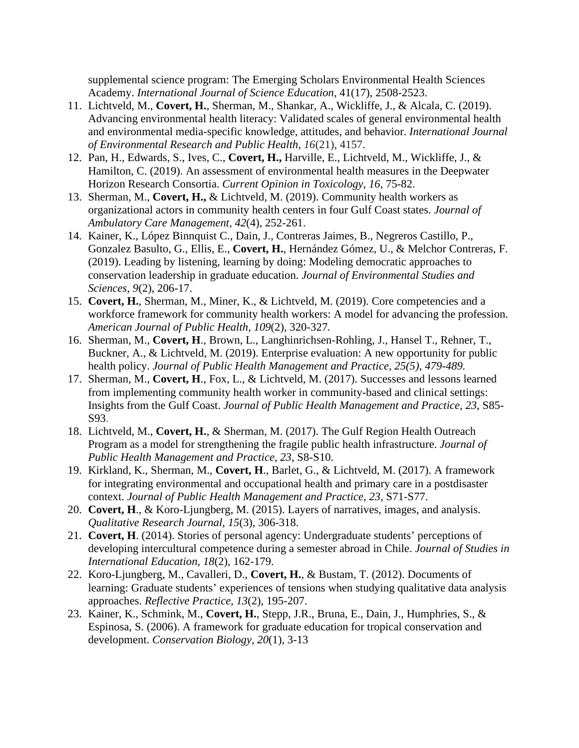supplemental science program: The Emerging Scholars Environmental Health Sciences Academy. *International Journal of Science Education,* 41(17), 2508-2523.

- 11. Lichtveld, M., **Covert, H.**, Sherman, M., Shankar, A., Wickliffe, J., & Alcala, C. (2019). Advancing environmental health literacy: Validated scales of general environmental health and environmental media-specific knowledge, attitudes, and behavior. *International Journal of Environmental Research and Public Health*, *16*(21), 4157.
- 12. Pan, H., Edwards, S., Ives, C., **Covert, H.,** Harville, E., Lichtveld, M., Wickliffe, J., & Hamilton, C. (2019). An assessment of environmental health measures in the Deepwater Horizon Research Consortia. *Current Opinion in Toxicology*, *16*, 75-82.
- 13. Sherman, M., **Covert, H.,** & Lichtveld, M. (2019). Community health workers as organizational actors in community health centers in four Gulf Coast states. *Journal of Ambulatory Care Management, 42*(4), 252-261.
- 14. Kainer, K., López Binnquist C., Dain, J., Contreras Jaimes, B., Negreros Castillo, P., Gonzalez Basulto, G., Ellis, E., **Covert, H.**, Hernández Gómez, U., & Melchor Contreras, F. (2019). Leading by listening, learning by doing: Modeling democratic approaches to conservation leadership in graduate education. *Journal of Environmental Studies and Sciences*, *9*(2), 206-17.
- 15. **Covert, H.**, Sherman, M., Miner, K., & Lichtveld, M. (2019). Core competencies and a workforce framework for community health workers: A model for advancing the profession. *American Journal of Public Health, 109*(2), 320-327*.*
- 16. Sherman, M., **Covert, H**., Brown, L., Langhinrichsen-Rohling, J., Hansel T., Rehner, T., Buckner, A., & Lichtveld, M. (2019). Enterprise evaluation: A new opportunity for public health policy. *Journal of Public Health Management and Practice, 25(5), 479-489.*
- 17. Sherman, M., **Covert, H**., Fox, L., & Lichtveld, M. (2017). Successes and lessons learned from implementing community health worker in community-based and clinical settings: Insights from the Gulf Coast. *Journal of Public Health Management and Practice, 23*, S85- S93.
- 18. Lichtveld, M., **Covert, H.**, & Sherman, M. (2017). The Gulf Region Health Outreach Program as a model for strengthening the fragile public health infrastructure. *Journal of Public Health Management and Practice, 23*, S8-S10.
- 19. Kirkland, K., Sherman, M., **Covert, H**., Barlet, G., & Lichtveld, M. (2017). A framework for integrating environmental and occupational health and primary care in a postdisaster context. *Journal of Public Health Management and Practice, 23*, S71-S77.
- 20. **Covert, H**., & Koro-Ljungberg, M. (2015). Layers of narratives, images, and analysis. *Qualitative Research Journal*, *15*(3), 306-318.
- 21. **Covert, H**. (2014). Stories of personal agency: Undergraduate students' perceptions of developing intercultural competence during a semester abroad in Chile. *Journal of Studies in International Education, 18*(2), 162-179.
- 22. Koro-Ljungberg, M., Cavalleri, D., **Covert, H.**, & Bustam, T. (2012). Documents of learning: Graduate students' experiences of tensions when studying qualitative data analysis approaches. *Reflective Practice*, *13*(2), 195-207.
- 23. Kainer, K., Schmink, M., **Covert, H.**, Stepp, J.R., Bruna, E., Dain, J., Humphries, S., & Espinosa, S. (2006). A framework for graduate education for tropical conservation and development. *Conservation Biology, 20*(1), 3-13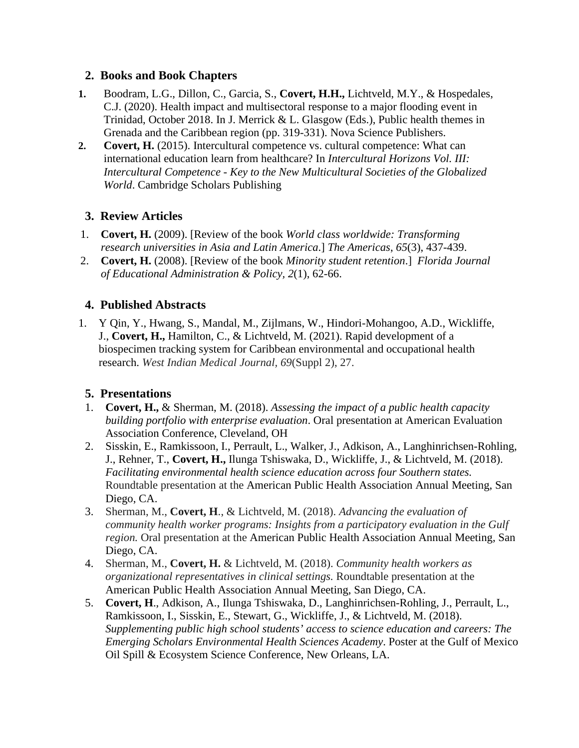#### **2. Books and Book Chapters**

- **1.** Boodram, L.G., Dillon, C., Garcia, S., **Covert, H.H.,** Lichtveld, M.Y., & Hospedales, C.J. (2020). Health impact and multisectoral response to a major flooding event in Trinidad, October 2018. In J. Merrick & L. Glasgow (Eds.), Public health themes in Grenada and the Caribbean region (pp. 319-331). Nova Science Publishers.
- **2. Covert, H.** (2015). Intercultural competence vs. cultural competence: What can international education learn from healthcare? In *Intercultural Horizons Vol. III: Intercultural Competence - Key to the New Multicultural Societies of the Globalized World*. Cambridge Scholars Publishing

#### **3. Review Articles**

- 1. **Covert, H.** (2009). [Review of the book *World class worldwide: Transforming research universities in Asia and Latin America*.] *The Americas*, *65*(3), 437-439.
- 2. **Covert, H.** (2008). [Review of the book *Minority student retention*.] *Florida Journal of Educational Administration & Policy, 2*(1), 62-66.

#### **4. Published Abstracts**

1. Y Qin, Y., Hwang, S., Mandal, M., Zijlmans, W., Hindori-Mohangoo, A.D., Wickliffe, J., **Covert, H.,** Hamilton, C., & Lichtveld, M. (2021). Rapid development of a biospecimen tracking system for Caribbean environmental and occupational health research. *West Indian Medical Journal, 69*(Suppl 2), 27.

#### **5. Presentations**

- 1. **Covert, H.,** & Sherman, M. (2018). *Assessing the impact of a public health capacity building portfolio with enterprise evaluation*. Oral presentation at American Evaluation Association Conference, Cleveland, OH
- 2. Sisskin, E., Ramkissoon, I., Perrault, L., Walker, J., Adkison, A., Langhinrichsen-Rohling, J., Rehner, T., **Covert, H.,** Ilunga Tshiswaka, D., Wickliffe, J., & Lichtveld, M. (2018). *Facilitating environmental health science education across four Southern states.* Roundtable presentation at the American Public Health Association Annual Meeting, San Diego, CA.
- 3. Sherman, M., **Covert, H**., & Lichtveld, M. (2018). *Advancing the evaluation of community health worker programs: Insights from a participatory evaluation in the Gulf region.* Oral presentation at the American Public Health Association Annual Meeting, San Diego, CA.
- 4. Sherman, M., **Covert, H.** & Lichtveld, M. (2018). *Community health workers as organizational representatives in clinical settings.* Roundtable presentation at the American Public Health Association Annual Meeting, San Diego, CA.
- 5. **Covert, H**., Adkison, A., Ilunga Tshiswaka, D., Langhinrichsen-Rohling, J., Perrault, L., Ramkissoon, I., Sisskin, E., Stewart, G., Wickliffe, J., & Lichtveld, M. (2018). *Supplementing public high school students' access to science education and careers: The Emerging Scholars Environmental Health Sciences Academy*. Poster at the Gulf of Mexico Oil Spill & Ecosystem Science Conference, New Orleans, LA.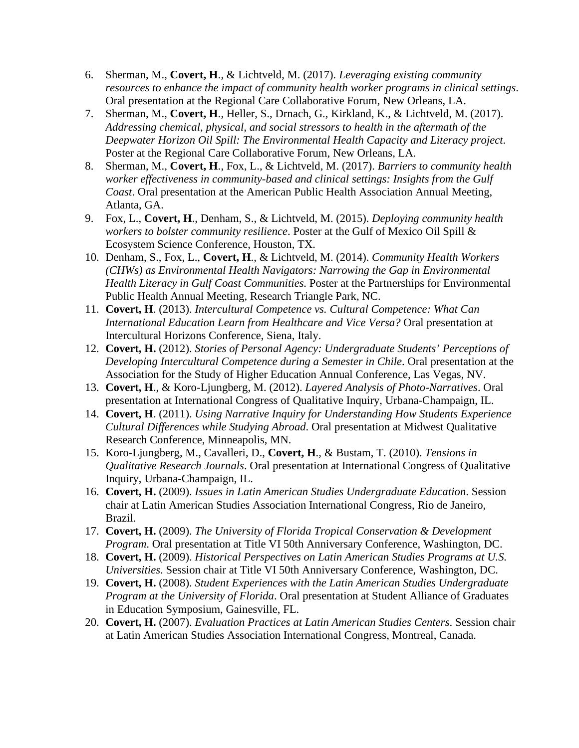- 6. Sherman, M., **Covert, H**., & Lichtveld, M. (2017). *Leveraging existing community resources to enhance the impact of community health worker programs in clinical settings*. Oral presentation at the Regional Care Collaborative Forum, New Orleans, LA.
- 7. Sherman, M., **Covert, H**., Heller, S., Drnach, G., Kirkland, K., & Lichtveld, M. (2017). *Addressing chemical, physical, and social stressors to health in the aftermath of the Deepwater Horizon Oil Spill: The Environmental Health Capacity and Literacy project*. Poster at the Regional Care Collaborative Forum, New Orleans, LA.
- 8. Sherman, M., **Covert, H**., Fox, L., & Lichtveld, M. (2017). *Barriers to community health worker effectiveness in community-based and clinical settings: Insights from the Gulf Coast*. Oral presentation at the American Public Health Association Annual Meeting, Atlanta, GA.
- 9. Fox, L., **Covert, H**., Denham, S., & Lichtveld, M. (2015). *Deploying community health workers to bolster community resilience*. Poster at the Gulf of Mexico Oil Spill & Ecosystem Science Conference, Houston, TX.
- 10. Denham, S., Fox, L., **Covert, H**., & Lichtveld, M. (2014). *Community Health Workers (CHWs) as Environmental Health Navigators: Narrowing the Gap in Environmental Health Literacy in Gulf Coast Communities*. Poster at the Partnerships for Environmental Public Health Annual Meeting, Research Triangle Park, NC.
- 11. **Covert, H**. (2013). *Intercultural Competence vs. Cultural Competence: What Can International Education Learn from Healthcare and Vice Versa?* Oral presentation at Intercultural Horizons Conference, Siena, Italy.
- 12. **Covert, H.** (2012). *Stories of Personal Agency: Undergraduate Students' Perceptions of Developing Intercultural Competence during a Semester in Chile*. Oral presentation at the Association for the Study of Higher Education Annual Conference, Las Vegas, NV.
- 13. **Covert, H**., & Koro-Ljungberg, M. (2012). *Layered Analysis of Photo-Narratives*. Oral presentation at International Congress of Qualitative Inquiry, Urbana-Champaign, IL.
- 14. **Covert, H**. (2011). *Using Narrative Inquiry for Understanding How Students Experience Cultural Differences while Studying Abroad*. Oral presentation at Midwest Qualitative Research Conference, Minneapolis, MN.
- 15. Koro-Ljungberg, M., Cavalleri, D., **Covert, H**., & Bustam, T. (2010). *Tensions in Qualitative Research Journals*. Oral presentation at International Congress of Qualitative Inquiry, Urbana-Champaign, IL.
- 16. **Covert, H.** (2009). *Issues in Latin American Studies Undergraduate Education*. Session chair at Latin American Studies Association International Congress, Rio de Janeiro, Brazil.
- 17. **Covert, H.** (2009). *The University of Florida Tropical Conservation & Development Program*. Oral presentation at Title VI 50th Anniversary Conference, Washington, DC.
- 18. **Covert, H.** (2009). *Historical Perspectives on Latin American Studies Programs at U.S. Universities*. Session chair at Title VI 50th Anniversary Conference, Washington, DC.
- 19. **Covert, H.** (2008). *Student Experiences with the Latin American Studies Undergraduate Program at the University of Florida*. Oral presentation at Student Alliance of Graduates in Education Symposium, Gainesville, FL.
- 20. **Covert, H.** (2007). *Evaluation Practices at Latin American Studies Centers*. Session chair at Latin American Studies Association International Congress, Montreal, Canada.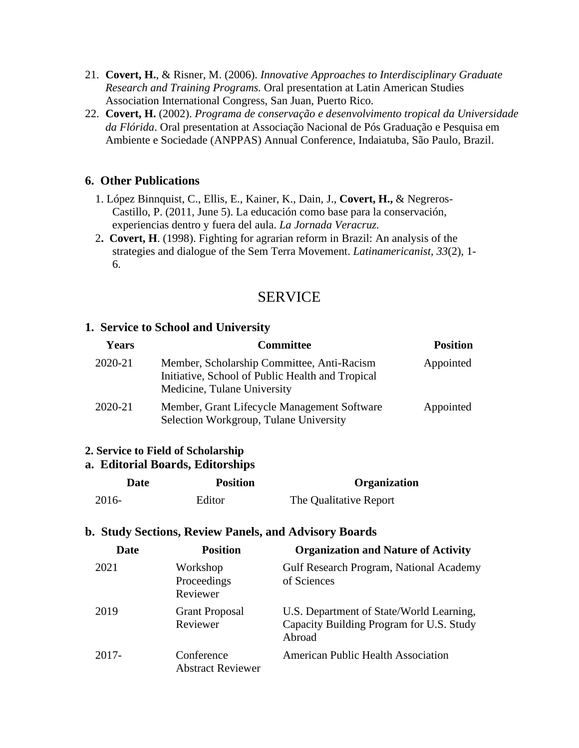- 21. **Covert, H.**, & Risner, M. (2006). *Innovative Approaches to Interdisciplinary Graduate Research and Training Programs.* Oral presentation at Latin American Studies Association International Congress, San Juan, Puerto Rico.
- 22. **Covert, H.** (2002). *Programa de conservação e desenvolvimento tropical da Universidade da Flórida*. Oral presentation at Associação Nacional de Pós Graduação e Pesquisa em Ambiente e Sociedade (ANPPAS) Annual Conference, Indaiatuba, São Paulo, Brazil.

#### **6. Other Publications**

- 1. López Binnquist, C., Ellis, E., Kainer, K., Dain, J., **Covert, H.,** & Negreros-Castillo, P. (2011, June 5). La educación como base para la conservación, experiencias dentro y fuera del aula. *La Jornada Veracruz.*
- 2**. Covert, H**. (1998). Fighting for agrarian reform in Brazil: An analysis of the strategies and dialogue of the Sem Terra Movement. *Latinamericanist, 33*(2), 1- 6.

### SERVICE

#### **1. Service to School and University**

| <b>Years</b> | <b>Committee</b>                                                                                                              | <b>Position</b> |
|--------------|-------------------------------------------------------------------------------------------------------------------------------|-----------------|
| 2020-21      | Member, Scholarship Committee, Anti-Racism<br>Initiative, School of Public Health and Tropical<br>Medicine, Tulane University | Appointed       |
| 2020-21      | Member, Grant Lifecycle Management Software<br>Selection Workgroup, Tulane University                                         | Appointed       |

#### **2. Service to Field of Scholarship**

#### **a. Editorial Boards, Editorships**

| Date  | <b>Position</b> | Organization           |
|-------|-----------------|------------------------|
| 2016- | Editor          | The Qualitative Report |

#### **b. Study Sections, Review Panels, and Advisory Boards**

| Date  | <b>Position</b>                        | <b>Organization and Nature of Activity</b>                                                     |
|-------|----------------------------------------|------------------------------------------------------------------------------------------------|
| 2021  | Workshop<br>Proceedings<br>Reviewer    | Gulf Research Program, National Academy<br>of Sciences                                         |
| 2019  | <b>Grant Proposal</b><br>Reviewer      | U.S. Department of State/World Learning,<br>Capacity Building Program for U.S. Study<br>Abroad |
| 2017- | Conference<br><b>Abstract Reviewer</b> | <b>American Public Health Association</b>                                                      |